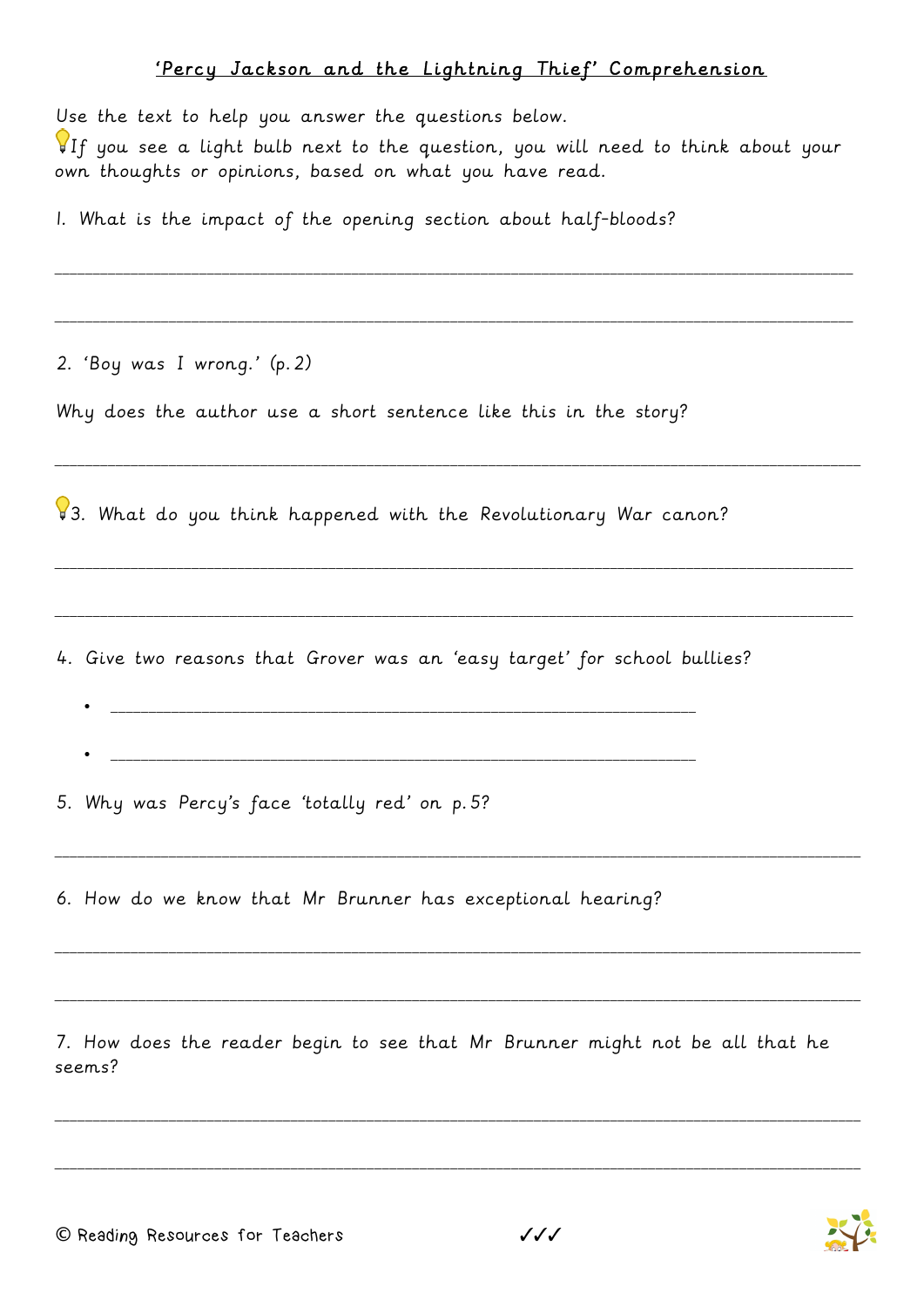## 'Percy Jackson and the Lightning Thief' Comprehension

Use the text to help you answer the questions below.

If you see a light bulb next to the question, you will need to think about your own thoughts or opinions, based on what you have read.

\_\_\_\_\_\_\_\_\_\_\_\_\_\_\_\_\_\_\_\_\_\_\_\_\_\_\_\_\_\_\_\_\_\_\_\_\_\_\_\_\_\_\_\_\_\_\_\_\_\_\_\_\_\_\_\_\_\_\_\_\_\_\_\_\_\_\_\_\_\_\_\_\_\_\_\_\_\_\_\_\_\_\_\_\_\_\_\_\_\_\_\_\_\_\_\_\_\_\_\_\_\_\_\_\_

\_\_\_\_\_\_\_\_\_\_\_\_\_\_\_\_\_\_\_\_\_\_\_\_\_\_\_\_\_\_\_\_\_\_\_\_\_\_\_\_\_\_\_\_\_\_\_\_\_\_\_\_\_\_\_\_\_\_\_\_\_\_\_\_\_\_\_\_\_\_\_\_\_\_\_\_\_\_\_\_\_\_\_\_\_\_\_\_\_\_\_\_\_\_\_\_\_\_\_\_\_\_\_\_\_

\_\_\_\_\_\_\_\_\_\_\_\_\_\_\_\_\_\_\_\_\_\_\_\_\_\_\_\_\_\_\_\_\_\_\_\_\_\_\_\_\_\_\_\_\_\_\_\_\_\_\_\_\_\_\_\_\_\_\_\_\_\_\_\_\_\_\_\_\_\_\_\_\_\_\_\_\_\_\_\_\_\_\_\_\_\_\_\_\_\_\_\_\_\_\_\_\_\_\_\_\_\_\_\_\_\_

\_\_\_\_\_\_\_\_\_\_\_\_\_\_\_\_\_\_\_\_\_\_\_\_\_\_\_\_\_\_\_\_\_\_\_\_\_\_\_\_\_\_\_\_\_\_\_\_\_\_\_\_\_\_\_\_\_\_\_\_\_\_\_\_\_\_\_\_\_\_\_\_\_\_\_\_\_\_\_\_\_\_\_\_\_\_\_\_\_\_\_\_\_\_\_\_\_\_\_\_\_\_\_\_\_

\_\_\_\_\_\_\_\_\_\_\_\_\_\_\_\_\_\_\_\_\_\_\_\_\_\_\_\_\_\_\_\_\_\_\_\_\_\_\_\_\_\_\_\_\_\_\_\_\_\_\_\_\_\_\_\_\_\_\_\_\_\_\_\_\_\_\_\_\_\_\_\_\_\_\_\_\_\_\_\_\_\_\_\_\_\_\_\_\_\_\_\_\_\_\_\_\_\_\_\_\_\_\_\_\_

\_\_\_\_\_\_\_\_\_\_\_\_\_\_\_\_\_\_\_\_\_\_\_\_\_\_\_\_\_\_\_\_\_\_\_\_\_\_\_\_\_\_\_\_\_\_\_\_\_\_\_\_\_\_\_\_\_\_\_\_\_\_\_\_\_\_\_\_\_\_\_\_\_\_\_\_\_\_\_\_\_\_\_\_\_\_\_\_\_\_\_\_\_\_\_\_\_\_\_\_\_\_\_\_\_\_

\_\_\_\_\_\_\_\_\_\_\_\_\_\_\_\_\_\_\_\_\_\_\_\_\_\_\_\_\_\_\_\_\_\_\_\_\_\_\_\_\_\_\_\_\_\_\_\_\_\_\_\_\_\_\_\_\_\_\_\_\_\_\_\_\_\_\_\_\_\_\_\_\_\_\_\_\_\_\_\_\_\_\_\_\_\_\_\_\_\_\_\_\_\_\_\_\_\_\_\_\_\_\_\_\_\_

\_\_\_\_\_\_\_\_\_\_\_\_\_\_\_\_\_\_\_\_\_\_\_\_\_\_\_\_\_\_\_\_\_\_\_\_\_\_\_\_\_\_\_\_\_\_\_\_\_\_\_\_\_\_\_\_\_\_\_\_\_\_\_\_\_\_\_\_\_\_\_\_\_\_\_\_\_\_\_\_\_\_\_\_\_\_\_\_\_\_\_\_\_\_\_\_\_\_\_\_\_\_\_\_\_\_

\_\_\_\_\_\_\_\_\_\_\_\_\_\_\_\_\_\_\_\_\_\_\_\_\_\_\_\_\_\_\_\_\_\_\_\_\_\_\_\_\_\_\_\_\_\_\_\_\_\_\_\_\_\_\_\_\_\_\_\_\_\_\_\_\_\_\_\_\_\_\_\_\_\_\_\_\_\_\_\_\_\_\_\_\_\_\_\_\_\_\_\_\_\_\_\_\_\_\_\_\_\_\_\_\_\_

\_\_\_\_\_\_\_\_\_\_\_\_\_\_\_\_\_\_\_\_\_\_\_\_\_\_\_\_\_\_\_\_\_\_\_\_\_\_\_\_\_\_\_\_\_\_\_\_\_\_\_\_\_\_\_\_\_\_\_\_\_\_\_\_\_\_\_\_\_\_\_\_\_\_\_\_\_\_\_\_\_\_\_\_\_\_\_\_\_\_\_\_\_\_\_\_\_\_\_\_\_\_\_\_\_\_

1. What is the impact of the opening section about half-bloods?

2. 'Boy was I wrong.' (p.2)

Why does the author use a short sentence like this in the story?

83. What do you think happened with the Revolutionary War canon?

4. Give two reasons that Grover was an 'easy target' for school bullies?

• \_\_\_\_\_\_\_\_\_\_\_\_\_\_\_\_\_\_\_\_\_\_\_\_\_\_\_\_\_\_\_\_\_\_\_\_\_\_\_\_\_\_\_\_\_\_\_\_\_\_\_\_\_\_\_\_\_\_\_\_\_\_\_\_\_\_\_\_\_\_\_\_\_\_\_\_\_

• \_\_\_\_\_\_\_\_\_\_\_\_\_\_\_\_\_\_\_\_\_\_\_\_\_\_\_\_\_\_\_\_\_\_\_\_\_\_\_\_\_\_\_\_\_\_\_\_\_\_\_\_\_\_\_\_\_\_\_\_\_\_\_\_\_\_\_\_\_\_\_\_\_\_\_\_\_

5. Why was Percy's face 'totally red' on p.5?

6. How do we know that Mr Brunner has exceptional hearing?

7. How does the reader begin to see that Mr Brunner might not be all that he seems?